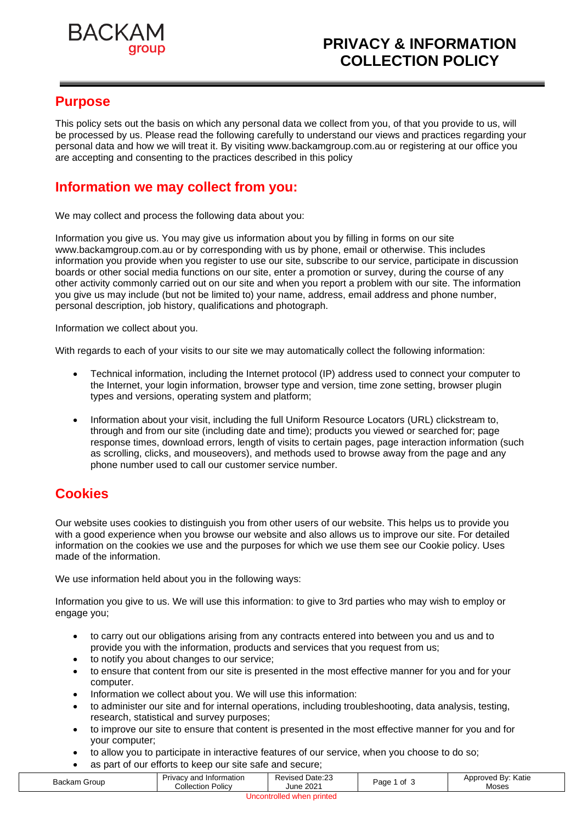

### **Purpose**

This policy sets out the basis on which any personal data we collect from you, of that you provide to us, will be processed by us. Please read the following carefully to understand our views and practices regarding your personal data and how we will treat it. By visiting www.backamgroup.com.au or registering at our office you are accepting and consenting to the practices described in this policy

## **Information we may collect from you:**

We may collect and process the following data about you:

Information you give us. You may give us information about you by filling in forms on our site www.backamgroup.com.au or by corresponding with us by phone, email or otherwise. This includes information you provide when you register to use our site, subscribe to our service, participate in discussion boards or other social media functions on our site, enter a promotion or survey, during the course of any other activity commonly carried out on our site and when you report a problem with our site. The information you give us may include (but not be limited to) your name, address, email address and phone number, personal description, job history, qualifications and photograph.

Information we collect about you.

With regards to each of your visits to our site we may automatically collect the following information:

- Technical information, including the Internet protocol (IP) address used to connect your computer to the Internet, your login information, browser type and version, time zone setting, browser plugin types and versions, operating system and platform;
- Information about your visit, including the full Uniform Resource Locators (URL) clickstream to, through and from our site (including date and time); products you viewed or searched for; page response times, download errors, length of visits to certain pages, page interaction information (such as scrolling, clicks, and mouseovers), and methods used to browse away from the page and any phone number used to call our customer service number.

## **Cookies**

Our website uses cookies to distinguish you from other users of our website. This helps us to provide you with a good experience when you browse our website and also allows us to improve our site. For detailed information on the cookies we use and the purposes for which we use them see our Cookie policy. Uses made of the information.

We use information held about you in the following ways:

Information you give to us. We will use this information: to give to 3rd parties who may wish to employ or engage you;

- to carry out our obligations arising from any contracts entered into between you and us and to provide you with the information, products and services that you request from us;
- to notify you about changes to our service;
- to ensure that content from our site is presented in the most effective manner for you and for your computer.
- Information we collect about you. We will use this information:
- to administer our site and for internal operations, including troubleshooting, data analysis, testing, research, statistical and survey purposes;
- to improve our site to ensure that content is presented in the most effective manner for you and for your computer;
- to allow you to participate in interactive features of our service, when you choose to do so;
- as part of our efforts to keep our site safe and secure;

| Backam Group                                     | Privacy and Information<br>⊦ Policv<br>Collection | Date:23<br>Revised<br>June 2021 | of<br>Paɑe<br>$\cdot$ | Approved By: Katie<br>Moses |  |  |  |  |
|--------------------------------------------------|---------------------------------------------------|---------------------------------|-----------------------|-----------------------------|--|--|--|--|
| i printed<br>Uncontrolled <sup>v</sup><br>⊧ wner |                                                   |                                 |                       |                             |  |  |  |  |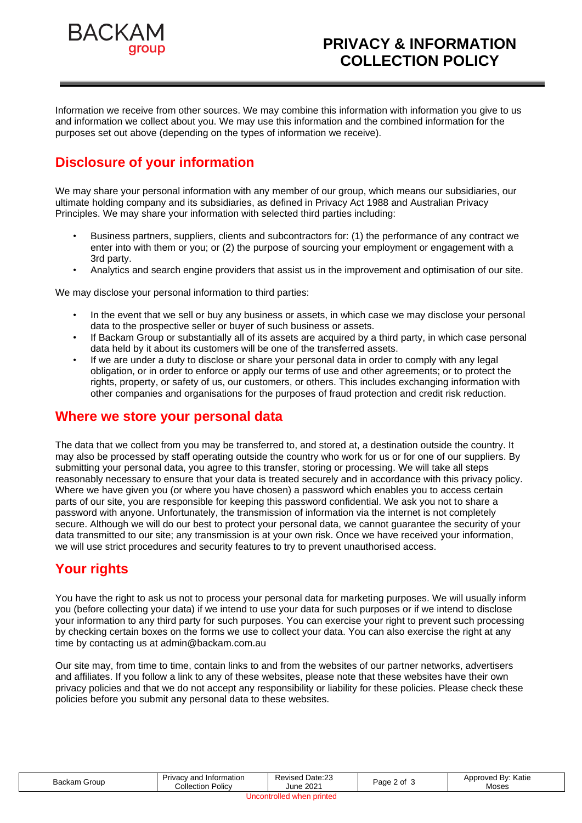

Information we receive from other sources. We may combine this information with information you give to us and information we collect about you. We may use this information and the combined information for the purposes set out above (depending on the types of information we receive).

# **Disclosure of your information**

We may share your personal information with any member of our group, which means our subsidiaries, our ultimate holding company and its subsidiaries, as defined in Privacy Act 1988 and Australian Privacy Principles. We may share your information with selected third parties including:

- Business partners, suppliers, clients and subcontractors for: (1) the performance of any contract we enter into with them or you; or (2) the purpose of sourcing your employment or engagement with a 3rd party.
- Analytics and search engine providers that assist us in the improvement and optimisation of our site.

We may disclose your personal information to third parties:

- In the event that we sell or buy any business or assets, in which case we may disclose your personal data to the prospective seller or buyer of such business or assets.
- If Backam Group or substantially all of its assets are acquired by a third party, in which case personal data held by it about its customers will be one of the transferred assets.
- If we are under a duty to disclose or share your personal data in order to comply with any legal obligation, or in order to enforce or apply our terms of use and other agreements; or to protect the rights, property, or safety of us, our customers, or others. This includes exchanging information with other companies and organisations for the purposes of fraud protection and credit risk reduction.

#### **Where we store your personal data**

The data that we collect from you may be transferred to, and stored at, a destination outside the country. It may also be processed by staff operating outside the country who work for us or for one of our suppliers. By submitting your personal data, you agree to this transfer, storing or processing. We will take all steps reasonably necessary to ensure that your data is treated securely and in accordance with this privacy policy. Where we have given you (or where you have chosen) a password which enables you to access certain parts of our site, you are responsible for keeping this password confidential. We ask you not to share a password with anyone. Unfortunately, the transmission of information via the internet is not completely secure. Although we will do our best to protect your personal data, we cannot guarantee the security of your data transmitted to our site; any transmission is at your own risk. Once we have received your information, we will use strict procedures and security features to try to prevent unauthorised access.

# **Your rights**

You have the right to ask us not to process your personal data for marketing purposes. We will usually inform you (before collecting your data) if we intend to use your data for such purposes or if we intend to disclose your information to any third party for such purposes. You can exercise your right to prevent such processing by checking certain boxes on the forms we use to collect your data. You can also exercise the right at any time by contacting us at admin@backam.com.au

Our site may, from time to time, contain links to and from the websites of our partner networks, advertisers and affiliates. If you follow a link to any of these websites, please note that these websites have their own privacy policies and that we do not accept any responsibility or liability for these policies. Please check these policies before you submit any personal data to these websites.

| <b>Backam Group</b>       | Privacy and Information<br><b>Collection Policy</b> | <b>Revised Date:23</b><br>June 2021 | Page 2 of | Approved By: Katie<br>Moses |  |  |  |
|---------------------------|-----------------------------------------------------|-------------------------------------|-----------|-----------------------------|--|--|--|
| Uncontrolled when printed |                                                     |                                     |           |                             |  |  |  |